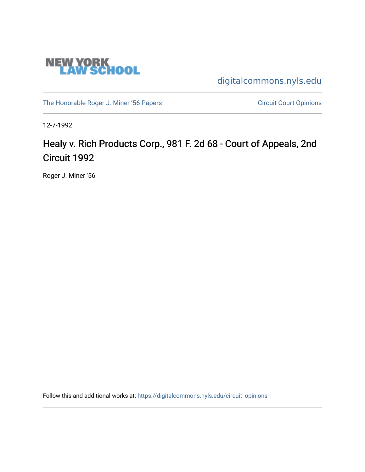

[digitalcommons.nyls.edu](https://digitalcommons.nyls.edu/) 

[The Honorable Roger J. Miner '56 Papers](https://digitalcommons.nyls.edu/miner_papers) Circuit Court Opinions

12-7-1992

# Healy v. Rich Products Corp., 981 F. 2d 68 - Court of Appeals, 2nd Circuit 1992

Roger J. Miner '56

Follow this and additional works at: [https://digitalcommons.nyls.edu/circuit\\_opinions](https://digitalcommons.nyls.edu/circuit_opinions?utm_source=digitalcommons.nyls.edu%2Fcircuit_opinions%2F379&utm_medium=PDF&utm_campaign=PDFCoverPages)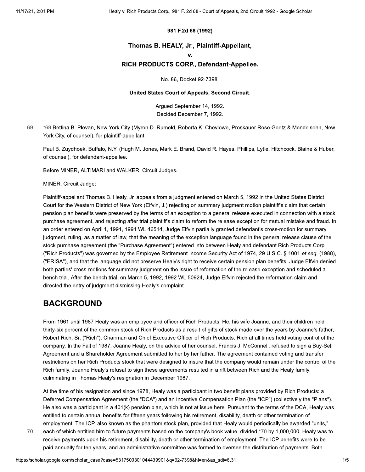### 981 F.2d 68 (1992)

### Thomas B. HEALY, Jr., Plaintiff-Appellant,

v.

### RICH PRODUCTS CORP., Defendant-Appellee.

No. 86, Docket 92-7398.

#### United States Court of Appeals, Second Circuit.

Arqued September 14, 1992. Decided December 7, 1992.

69 \*69 Bettina B. Plevan, New York City (Myron D. Rumeld, Roberta K. Chevlowe, Proskauer Rose Goetz & Mendelsohn, New York City, of counsel), for plaintiff-appellant.

Paul B. Zuydhoek, Buffalo, N.Y. (Hugh M. Jones, Mark E. Brand, David R. Hayes, Phillips, Lytle, Hitchcock, Blaine & Huber, of counsel), for defendant-appellee.

Before MINER, ALTIMARI and WALKER, Circuit Judges.

MINER, Circuit Judge:

Plaintiff-appellant Thomas B. Healy, Jr. appeals from a judgment entered on March 5, 1992 in the United States District Court for the Western District of New York (Elfvin, J.) rejecting on summary judgment motion plaintiff's claim that certain pension plan benefits were preserved by the terms of an exception to a general release executed in connection with a stock purchase agreement, and rejecting after trial plaintiff's claim to reform the release exception for mutual mistake and fraud. In an order entered on April 1, 1991, 1991 WL 46514, Judge Elfvin partially granted defendant's cross-motion for summary judgment, ruling, as a matter of law, that the meaning of the exception language found in the general release clause of the stock purchase agreement (the "Purchase Agreement") entered into between Healy and defendant Rich Products Corp. ("Rich Products") was governed by the Employee Retirement Income Security Act of 1974, 29 U.S.C. § 1001 et seq. (1988), ("ERISA"), and that the language did not preserve Healy's right to receive certain pension plan benefits. Judge Elfvin denied both parties' cross-motions for summary judgment on the issue of reformation of the release exception and scheduled a bench trial. After the bench trial, on March 5, 1992, 1992 WL 50924, Judge Elfvin rejected the reformation claim and directed the entry of judgment dismissing Healy's complaint.

### **BACKGROUND**

From 1961 until 1987 Healy was an employee and officer of Rich Products. He, his wife Joanne, and their children held thirty-six percent of the common stock of Rich Products as a result of gifts of stock made over the years by Joanne's father, Robert Rich, Sr. ("Rich"), Chairman and Chief Executive Officer of Rich Products. Rich at all times held voting control of the company. In the Fall of 1987, Joanne Healy, on the advice of her counsel, Francis J. McConnell, refused to sign a Buy-Sell Agreement and a Shareholder Agreement submitted to her by her father. The agreement contained voting and transfer restrictions on her Rich Products stock that were designed to insure that the company would remain under the control of the Rich family. Joanne Healy's refusal to sign these agreements resulted in a rift between Rich and the Healy family, culminating in Thomas Healy's resignation in December 1987.

At the time of his resignation and since 1978, Healy was a participant in two benefit plans provided by Rich Products: a Deferred Compensation Agreement (the "DCA") and an Incentive Compensation Plan (the "ICP") (collectively the "Plans"). He also was a participant in a 401(k) pension plan, which is not at issue here. Pursuant to the terms of the DCA, Healy was entitled to certain annual benefits for fifteen years following his retirement, disability, death or other termination of employment. The ICP, also known as the phantom stock plan, provided that Healy would periodically be awarded "units,"

70

each of which entitled him to future payments based on the company's book value, divided \*70 by 1,000,000. Healy was to receive payments upon his retirement, disability, death or other termination of employment. The ICP benefits were to be paid annually for ten years, and an administrative committee was formed to oversee the distribution of payments. Both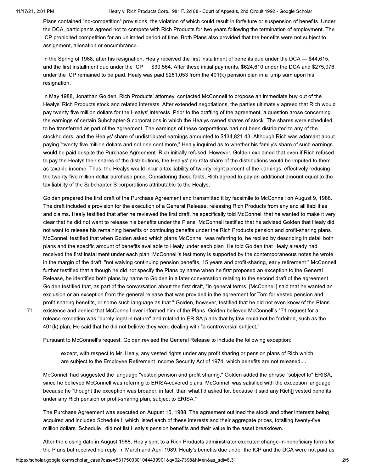$71$ 

Healy v. Rich Products Corp., 981 F. 2d 68 - Court of Appeals, 2nd Circuit 1992 - Google Scholar

Plans contained "no-competition" provisions, the violation of which could result in forfeiture or suspension of benefits. Under the DCA, participants agreed not to compete with Rich Products for two years following the termination of employment. The ICP prohibited competition for an unlimited period of time. Both Plans also provided that the benefits were not subject to assignment, alienation or encumbrance.

In the Spring of 1988, after his resignation, Healy received the first installment of benefits due under the DCA  $-$  \$44,615, and the first installment due under the ICP - \$30,564. After these initial payments, \$624,610 under the DCA and \$275,076 under the ICP remained to be paid. Healy was paid \$281,053 from the 401(k) pension plan in a lump sum upon his resignation.

In May 1988, Jonathan Golden, Rich Products' attorney, contacted McConnell to propose an immediate buy-out of the Healys' Rich Products stock and related interests. After extended negotiations, the parties ultimately agreed that Rich would pay twenty-five million dollars for the Healys' interests. Prior to the drafting of the agreement, a question arose concerning the earnings of certain Subchapter-S corporations in which the Healys owned shares of stock. The shares were scheduled to be transferred as part of the agreement. The earnings of these corporations had not been distributed to any of the stockholders, and the Healys' share of undistributed earnings amounted to \$134,821.43. Although Rich was adamant about paying "twenty-five million dollars and not one cent more," Healy inquired as to whether his family's share of such earnings would be paid despite the Purchase Agreement. Rich initially refused. However, Golden explained that even if Rich refused to pay the Healys their shares of the distributions, the Healys' pro rata share of the distributions would be imputed to them as taxable income. Thus, the Healys would incur a tax liability of twenty-eight percent of the earnings, effectively reducing the twenty-five million dollar purchase price. Considering these facts, Rich agreed to pay an additional amount equal to the tax liability of the Subchapter-S corporations attributable to the Healys.

Golden prepared the first draft of the Purchase Agreement and transmitted it by facsimile to McConnell on August 9, 1988. The draft included a provision for the execution of a General Release, releasing Rich Products from any and all liabilities and claims. Healy testified that after he reviewed the first draft, he specifically told McConnell that he wanted to make it very clear that he did not want to release his benefits under the Plans. McConnell testified that he advised Golden that Healy did not want to release his remaining benefits or continuing benefits under the Rich Products pension and profit-sharing plans. McConnell testified that when Golden asked which plans McConnell was referring to, he replied by describing in detail both plans and the specific amount of benefits available to Healy under each plan. He told Golden that Healy already had received the first installment under each plan. McConnell's testimony is supported by the contemporaneous notes he wrote in the margin of the draft: "not waiving continuing pension benefits, 15 years and profit-sharing, early retirement." McConnell further testified that although he did not specify the Plans by name when he first proposed an exception to the General Release, he identified both plans by name to Golden in a later conversation relating to the second draft of the agreement. Golden testified that, as part of the conversation about the first draft, "in general terms, [McConnell] said that he wanted an exclusion or an exception from the general release that was provided in the agreement for Tom for vested pension and profit-sharing benefits, or some such language as that." Golden, however, testified that he did not even know of the Plans' existence and denied that McConnell ever informed him of the Plans. Golden believed McConnell's \*71 request for a release exception was "purely legal in nature" and related to ERISA plans that by law could not be forfeited, such as the 401(k) plan. He said that he did not believe they were dealing with "a controversial subject."

Pursuant to McConnell's request, Golden revised the General Release to include the following exception:

except, with respect to Mr. Healy, any vested rights under any profit sharing or pension plans of Rich which are subject to the Employee Retirement Income Security Act of 1974, which benefits are not released....

McConnell had suggested the language "vested pension and profit sharing." Golden added the phrase "subject to" ERISA, since he believed McConnell was referring to ERISA-covered plans. McConnell was satisfied with the exception language because he "thought the exception was broader, in fact, than what I'd asked for, because it said any Rich[] vested benefits under any Rich pension or profit-sharing plan, subject to ERISA."

The Purchase Agreement was executed on August 15, 1988. The agreement outlined the stock and other interests being acquired and included Schedule I, which listed each of these interests and their aggregate prices, totalling twenty-five million dollars. Schedule I did not list Healy's pension benefits and their value in the asset breakdown.

After the closing date in August 1988, Healy sent to a Rich Products administrator executed change-in-beneficiary forms for the Plans but received no reply. In March and April 1989, Healy's benefits due under the ICP and the DCA were not paid as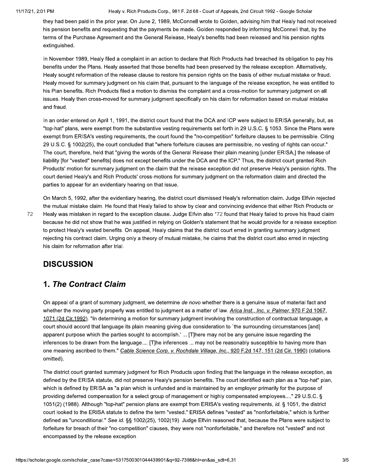72

Healy v. Rich Products Corp., 981 F. 2d 68 - Court of Appeals, 2nd Circuit 1992 - Google Scholar

they had been paid in the prior year. On June 2, 1989, McConnell wrote to Golden, advising him that Healy had not received his pension benefits and requesting that the payments be made. Golden responded by informing McConnell that, by the terms of the Purchase Agreement and the General Release, Healy's benefits had been released and his pension rights extinguished.

In November 1989, Healy filed a complaint in an action to declare that Rich Products had breached its obligation to pay his benefits under the Plans. Healy asserted that those benefits had been preserved by the release exception. Alternatively, Healy sought reformation of the release clause to restore his pension rights on the basis of either mutual mistake or fraud. Healy moved for summary judgment on his claim that, pursuant to the language of the release exception, he was entitled to his Plan benefits. Rich Products filed a motion to dismiss the complaint and a cross-motion for summary judgment on all issues. Healy then cross-moved for summary judgment specifically on his claim for reformation based on mutual mistake and fraud.

In an order entered on April 1, 1991, the district court found that the DCA and ICP were subject to ERISA generally, but, as "top-hat" plans, were exempt from the substantive vesting requirements set forth in 29 U.S.C. § 1053. Since the Plans were exempt from ERISA's vesting requirements, the court found the "no-competition" forfeiture clauses to be permissible. Citing 29 U.S.C. § 1002(25), the court concluded that "where forfeiture clauses are permissible, no vesting of rights can occur." The court, therefore, held that "giving the words of the General Release their plain meaning [under ERISA,] the release of liability [for "vested" benefits] does not except benefits under the DCA and the ICP." Thus, the district court granted Rich Products' motion for summary judgment on the claim that the release exception did not preserve Healy's pension rights. The court denied Healy's and Rich Products' cross-motions for summary judgment on the reformation claim and directed the parties to appear for an evidentiary hearing on that issue.

On March 5, 1992, after the evidentiary hearing, the district court dismissed Healy's reformation claim. Judge Elfvin rejected the mutual mistake claim. He found that Healy failed to show by clear and convincing evidence that either Rich Products or Healy was mistaken in regard to the exception clause. Judge Elfvin also \*72 found that Healy failed to prove his fraud claim because he did not show that he was justified in relying on Golden's statement that he would provide for a release exception to protect Healy's vested benefits. On appeal, Healy claims that the district court erred in granting summary judgment rejecting his contract claim. Urging only a theory of mutual mistake, he claims that the district court also erred in rejecting his claim for reformation after trial.

# **DISCUSSION**

# **1. The Contract Claim**

On appeal of a grant of summary judgment, we determine de novo whether there is a genuine issue of material fact and whether the moving party properly was entitled to judgment as a matter of law. Arica Inst., Inc. v. Palmer, 970 F.2d 1067, 1071 (2d Cir.1992). "In determining a motion for summary judgment involving the construction of contractual language, a court should accord that language its plain meaning giving due consideration to 'the surrounding circumstances [and] apparent purpose which the parties sought to accomplish.' ... [T]here may not be any genuine issue regarding the inferences to be drawn from the language.... [T]he inferences ... may not be reasonably susceptible to having more than one meaning ascribed to them." Cable Science Corp. v. Rochdale Village, Inc., 920 F.2d 147, 151 (2d Cir. 1990) (citations omitted).

The district court granted summary judgment for Rich Products upon finding that the language in the release exception, as defined by the ERISA statute, did not preserve Healy's pension benefits. The court identified each plan as a "top-hat" plan, which is defined by ERISA as "a plan which is unfunded and is maintained by an employer primarily for the purpose of providing deferred compensation for a select group of management or highly compensated employees...." 29 U.S.C. § 1051(2) (1988). Although "top-hat" pension plans are exempt from ERISA's vesting requirements, id. § 1051, the district court looked to the ERISA statute to define the term "vested." ERISA defines "vested" as "nonforfeitable," which is further defined as "unconditional." See id. §§ 1002(25), 1002(19). Judge Elfvin reasoned that, because the Plans were subject to forfeiture for breach of their "no-competition" clauses, they were not "nonforfeitable," and therefore not "vested" and not encompassed by the release exception.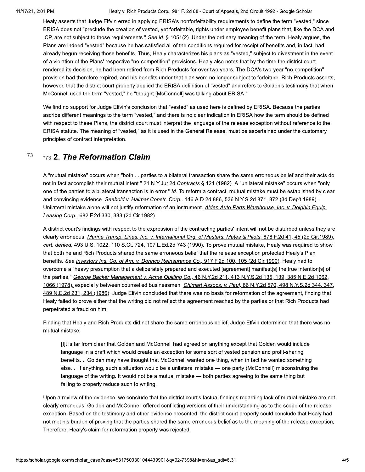Healy v. Rich Products Corp., 981 F. 2d 68 - Court of Appeals, 2nd Circuit 1992 - Google Scholar

Healy asserts that Judge Elfvin erred in applying ERISA's nonforfeitability requirements to define the term "vested," since ERISA does not "preclude the creation of vested, yet forfeitable, rights under employee benefit plans that, like the DCA and ICP, are not subject to those requirements." See id. § 1051(2). Under the ordinary meaning of the term, Healy argues, the Plans are indeed "vested" because he has satisfied all of the conditions required for receipt of benefits and, in fact, had already begun receiving those benefits. Thus, Healy characterizes his plans as "vested," subject to divestment in the event of a violation of the Plans' respective "no-competition" provisions. Healy also notes that by the time the district court rendered its decision, he had been retired from Rich Products for over two years. The DCA's two-year "no-competition" provision had therefore expired, and his benefits under that plan were no longer subject to forfeiture. Rich Products asserts, however, that the district court properly applied the ERISA definition of "vested" and refers to Golden's testimony that when McConnell used the term "vested," he "thought [McConnell] was talking about ERISA."

We find no support for Judge Elfvin's conclusion that "vested" as used here is defined by ERISA. Because the parties ascribe different meanings to the term "vested," and there is no clear indication in ERISA how the term should be defined with respect to these Plans, the district court must interpret the language of the release exception without reference to the ERISA statute. The meaning of "vested," as it is used in the General Release, must be ascertained under the customary principles of contract interpretation.

#### 73 \*73 2. The Reformation Claim

A "mutual mistake" occurs when "both ... parties to a bilateral transaction share the same erroneous belief and their acts do not in fact accomplish their mutual intent." 21 N.Y.Jur.2d Contracts § 121 (1982). A "unilateral mistake" occurs when "only one of the parties to a bilateral transaction is in error." Id. To reform a contract, mutual mistake must be established by clear and convincing evidence. Seebold v. Halmar Constr. Corp., 146 A.D.2d 886, 536 N.Y.S.2d 871, 872 (3d Dep't 1989). Unilateral mistake alone will not justify reformation of an instrument. Alden Auto Parts Warehouse, Inc. v. Dolphin Equip. Leasing Corp., 682 F.2d 330, 333 (2d Cir.1982).

A district court's findings with respect to the expression of the contracting parties' intent will not be disturbed unless they are clearly erroneous. Marine Transp. Lines, Inc. v. International Org. of Masters, Mates & Pilots, 878 F.2d 41, 45 (2d Cir.1989), cert. denied, 493 U.S. 1022, 110 S.Ct. 724, 107 L.Ed.2d 743 (1990). To prove mutual mistake, Healy was required to show that both he and Rich Products shared the same erroneous belief that the release exception protected Healy's Plan benefits. See Investors Ins. Co. of Am. v. Dorinco Reinsurance Co., 917 F.2d 100, 105 (2d Cir.1990). Healy had to overcome a "heavy presumption that a deliberately prepared and executed [agreement] manifest[s] the true intention[s] of the parties," George Backer Management v. Acme Quilting Co., 46 N.Y.2d 211, 413 N.Y.S.2d 135, 139, 385 N.E.2d 1062, 1066 (1978), especially between counselled businessmen. Chimart Assocs. v. Paul, 66 N.Y.2d 570, 498 N.Y.S.2d 344, 347, 489 N.E.2d 231, 234 (1986). Judge Elfvin concluded that there was no basis for reformation of the agreement, finding that Healy failed to prove either that the writing did not reflect the agreement reached by the parties or that Rich Products had perpetrated a fraud on him.

Finding that Healy and Rich Products did not share the same erroneous belief, Judge Elfvin determined that there was no mutual mistake:

[I]t is far from clear that Golden and McConnell had agreed on anything except that Golden would include language in a draft which would create an exception for some sort of vested pension and profit-sharing benefits.... Golden may have thought that McConnell wanted one thing, when in fact he wanted something else.... If anything, such a situation would be a unilateral mistake — one party (McConnell) misconstruing the language of the writing. It would not be a mutual mistake — both parties agreeing to the same thing but failing to properly reduce such to writing.

Upon a review of the evidence, we conclude that the district court's factual findings regarding lack of mutual mistake are not clearly erroneous. Golden and McConnell offered conflicting versions of their understanding as to the scope of the release exception. Based on the testimony and other evidence presented, the district court properly could conclude that Healy had not met his burden of proving that the parties shared the same erroneous belief as to the meaning of the release exception. Therefore, Healy's claim for reformation properly was rejected.